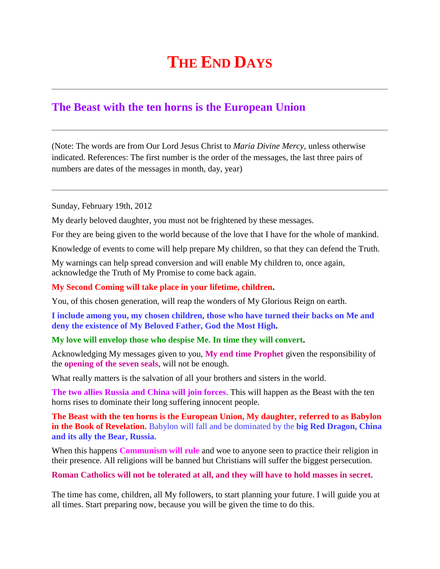## **THE END DAYS**

## **The Beast with the ten horns is the European Union**

(Note: The words are from Our Lord Jesus Christ to *Maria Divine Mercy*, unless otherwise indicated. References: The first number is the order of the messages, the last three pairs of numbers are dates of the messages in month, day, year)

Sunday, February 19th, 2012

My dearly beloved daughter, you must not be frightened by these messages.

For they are being given to the world because of the love that I have for the whole of mankind.

Knowledge of events to come will help prepare My children, so that they can defend the Truth.

My warnings can help spread conversion and will enable My children to, once again, acknowledge the Truth of My Promise to come back again.

## **My Second Coming will take place in your lifetime, children.**

You, of this chosen generation, will reap the wonders of My Glorious Reign on earth.

**I include among you, my chosen children, those who have turned their backs on Me and deny the existence of My Beloved Father, God the Most High.**

## **My love will envelop those who despise Me. In time they will convert.**

Acknowledging My messages given to you, **My end time Prophet** given the responsibility of the **opening of the seven seals**, will not be enough.

What really matters is the salvation of all your brothers and sisters in the world.

**The two allies Russia and China will join forces**. This will happen as the Beast with the ten horns rises to dominate their long suffering innocent people.

**The Beast with the ten horns is the European Union, My daughter, referred to as Babylon in the Book of Revelation.** Babylon will fall and be dominated by the **big Red Dragon, China and its ally the Bear, Russia.**

When this happens **Communism will rule** and woe to anyone seen to practice their religion in their presence. All religions will be banned but Christians will suffer the biggest persecution.

**Roman Catholics will not be tolerated at all, and they will have to hold masses in secret.**

The time has come, children, all My followers, to start planning your future. I will guide you at all times. Start preparing now, because you will be given the time to do this.